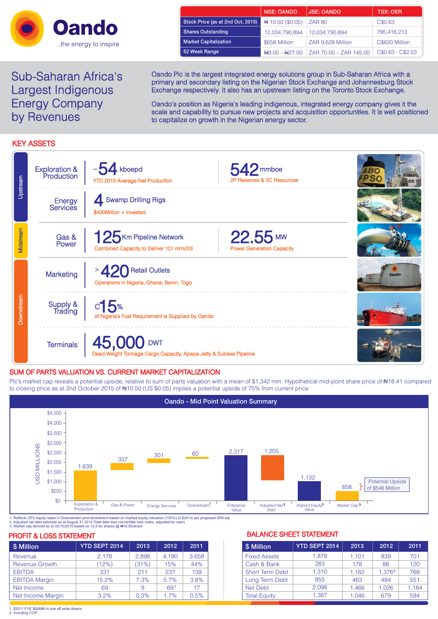

Sub-Saharan Africa's Largest Indigenous Energy Company by Revenues

|                                   | <b>NSE: OANDO</b>            | <b>JSE: OANDO</b>      | <b>TSX: OER</b>   |
|-----------------------------------|------------------------------|------------------------|-------------------|
| Stock Price (as at 2nd Oct, 2015) | # 10.50 (\$0.05)             | <b>ZAR 80</b>          | C\$0.63           |
| <b>Shares Outstanding</b>         | 12,034,790,894               | 12,034,790,894         | 795,416,213       |
| <b>Market Capitalization</b>      | \$658 Million                | ZAR 9.628 Million      | C\$620 Million    |
| 52 Week Range                     | $\frac{149.05 - 1427.00}{5}$ | ZAR 70.00 - ZAR 145.00 | C\$0.63 - C\$2.03 |

Oando Plc is the largest integrated energy solutions group in Sub-Saharan Africa with a primary and secondary listing on the Nigerian Stock Exchange and Johannesburg Stock Exchange respectively. It also has an upstream listing on the Toronto Stock Exchange.

Oando's position as Nigeria's leading indigenous, integrated energy company gives it the scale and capability to pursue new projects and acquisition opportunities. It is well positioned to capitalize on growth in the Nigerian energy sector.

# KEY ASSETS

| Upstream   | <b>Exploration &amp;</b><br>Production | $\sim$ 54 kboepd<br><b>YTD 2015 Average Net Production</b>                      | $542$ <sub>mmboe</sub><br>2P Reserves & 2C Resources |              |
|------------|----------------------------------------|---------------------------------------------------------------------------------|------------------------------------------------------|--------------|
|            | Energy<br>Services                     | 4 Swamp Drilling Rigs<br>\$400Million + Invested                                |                                                      |              |
| Midstream  | Gas &<br>Power                         | 125 Km Pipeline Network<br>Combined Capacity to Deliver 101 mmcf/d              | $22.55$ MW<br><b>Power Generation Capacity</b>       |              |
| Downstream | Marketing                              | <b>Retail Outlets</b><br>Operations in Nigeria, Ghana, Benin, Togo              |                                                      | <b>Oando</b> |
|            | Supply &<br>Trading                    | $c$ 15%<br>of Nigeria's Fuel Requirement is Supplied by Oando                   |                                                      |              |
|            | <b>Terminals</b>                       | 45,000 DWT<br>Dead Weight Tonnage Cargo Capacity, Apapa Jetty & Subsea Pipeline |                                                      |              |

# SUM OF PARTS VALUATION VS. CURRENT MARKET CAPITALIZATION

Plc's market cap reveals a potential upside, relative to sum of parts valuation with a mean of \$1,342 mm. Hypothetical mid-point share price of #18.41 compared to closing price as at 2nd October 2015 of #10.50 (US \$0.05) implies a potential upside of 75% from current price



1. Reflects 25% equity stake in Downstream post-divestment based on implied equity valuation (100%) of \$241m per proposed SPA adj<br>2. Adjusted net debt estimate as at August 31 2015 Total debt less convertible loan notes,

| \$ Million            | YTD SEPT 2014 | 2013  | 2012            | 2011  |
|-----------------------|---------------|-------|-----------------|-------|
| Revenue               | 2,178         | 2,898 | 4.190           | 3,658 |
| <b>Revenue Growth</b> | (12%)         | (31%) | 15%             | 44%   |
| <b>EBITDA</b>         | 331           | 211   | 237             | 139   |
| <b>EBITDA Margin</b>  | 15.2%         | 7.3%  | 5.7%            | 3.8%  |
| Net Income            | 69            | 9     | 69 <sup>1</sup> | 17    |
| Net Income Margin     | 3.2%          | 0.3%  | 1.7%            | 0.5%  |

## PROFIT & LOSS STATEMENT **BALANCE SHEET STATEMENT**

| \$ Million             | <b>YTD SEPT 2014</b> | 2013  | 2012               | 2011  |
|------------------------|----------------------|-------|--------------------|-------|
| <b>Fixed Assets</b>    | 1.878                | 1.101 | 839                | 701   |
| Cash & Bank            | 283                  | 178   | 86                 | 120   |
| <b>Short Term Debt</b> | 1.310                | 1.182 | 1,376 <sup>2</sup> | 768   |
| Long Term Debt         | 955                  | 463   | 484                | 551   |
| Net Debt               | 2.098                | 1.466 | 1.026              | 1,184 |
| <b>Total Equity</b>    | 1.387                | 1.046 | 679                | 594   |

1. \$2011 FYE \$62MM in one off write downs; 2. Including COP